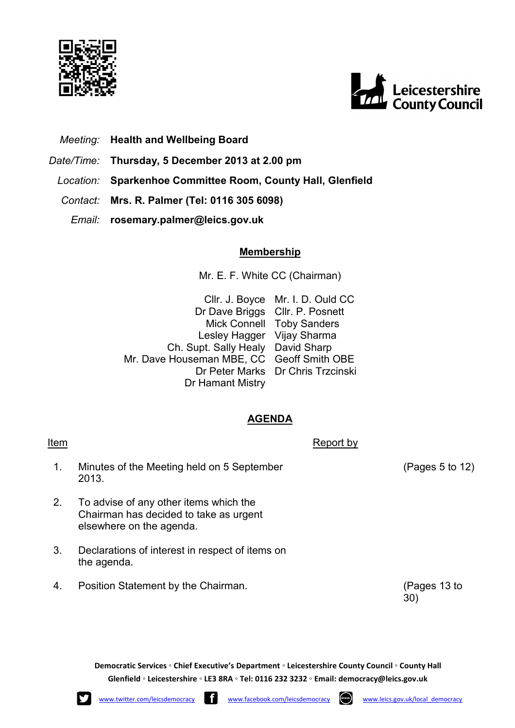



- *Meeting:* **Health and Wellbeing Board**
- *Date/Time:* **Thursday, 5 December 2013 at 2.00 pm**
- *Location:* **Sparkenhoe Committee Room, County Hall, Glenfield**
- *Contact:* **Mrs. R. Palmer (Tel: 0116 305 6098)**
	- *Email:* **rosemary.palmer@leics.gov.uk**

## **Membership**

Mr. E. F. White CC (Chairman)

Cllr. J. Boyce Mr. I. D. Ould CC Dr Dave Briggs Cllr. P. Posnett Mick Connell Lesley Hagger Vijay Sharma Ch. Supt. Sally Healy David Sharp Mr. Dave Houseman MBE, CC Geoff Smith OBE Dr Peter Marks Dr Chris Trzcinski Dr Hamant Mistry Toby Sanders

## **AGENDA**

| Item |                                                                                                              | Report by |                 |
|------|--------------------------------------------------------------------------------------------------------------|-----------|-----------------|
| 1.   | Minutes of the Meeting held on 5 September<br>2013.                                                          |           | (Pages 5 to 12) |
| 2.   | To advise of any other items which the<br>Chairman has decided to take as urgent<br>elsewhere on the agenda. |           |                 |
| 3.   | Declarations of interest in respect of items on<br>the agenda.                                               |           |                 |
| 4.   | Position Statement by the Chairman.                                                                          |           | (Pages 13 to    |

**Democratic Services ◦ Chief Executive's Department ◦ Leicestershire County Council ◦ County Hall Glenfield ◦ Leicestershire ◦ LE3 8RA ◦ Tel: 0116 232 3232 ◦ Email: democracy@leics.gov.uk** 

30)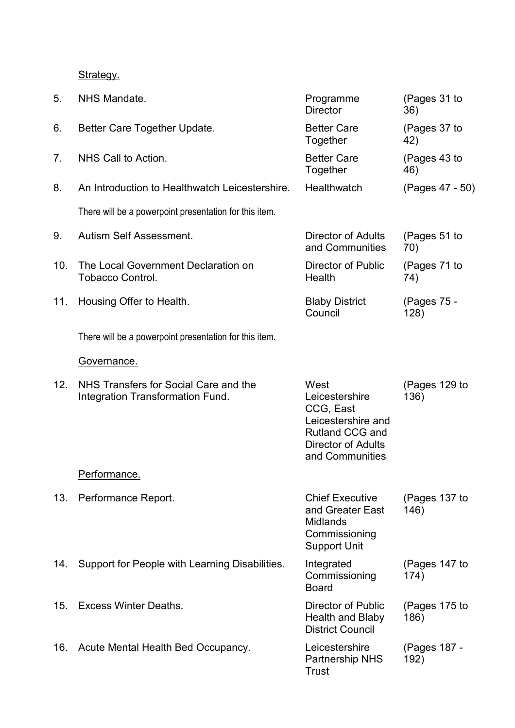Strategy.

| 5.  | NHS Mandate.                                                              | Programme<br><b>Director</b>                                                                                                 | (Pages 31 to<br>36)   |
|-----|---------------------------------------------------------------------------|------------------------------------------------------------------------------------------------------------------------------|-----------------------|
| 6.  | Better Care Together Update.                                              | <b>Better Care</b><br>Together                                                                                               | (Pages 37 to<br>42)   |
| 7.  | NHS Call to Action.                                                       | <b>Better Care</b><br>Together                                                                                               | (Pages 43 to<br>46)   |
| 8.  | An Introduction to Healthwatch Leicestershire.                            | Healthwatch                                                                                                                  | (Pages 47 - 50)       |
|     | There will be a powerpoint presentation for this item.                    |                                                                                                                              |                       |
| 9.  | <b>Autism Self Assessment.</b>                                            | Director of Adults<br>and Communities                                                                                        | (Pages 51 to<br>70)   |
| 10. | The Local Government Declaration on<br><b>Tobacco Control.</b>            | Director of Public<br>Health                                                                                                 | (Pages 71 to<br>74)   |
| 11. | Housing Offer to Health.                                                  | <b>Blaby District</b><br>Council                                                                                             | (Pages 75 -<br>128)   |
|     | There will be a powerpoint presentation for this item.                    |                                                                                                                              |                       |
|     | Governance.                                                               |                                                                                                                              |                       |
| 12. | NHS Transfers for Social Care and the<br>Integration Transformation Fund. | West<br>Leicestershire<br>CCG, East<br>Leicestershire and<br>Rutland CCG and<br><b>Director of Adults</b><br>and Communities | (Pages 129 to<br>136) |
|     | Performance.                                                              |                                                                                                                              |                       |
| 13. | Performance Report.                                                       | <b>Chief Executive</b><br>and Greater East<br><b>Midlands</b><br>Commissioning<br><b>Support Unit</b>                        | (Pages 137 to<br>146) |
| 14. | Support for People with Learning Disabilities.                            | Integrated<br>Commissioning<br><b>Board</b>                                                                                  | (Pages 147 to<br>174) |
| 15. | <b>Excess Winter Deaths.</b>                                              | Director of Public<br>Health and Blaby<br><b>District Council</b>                                                            | (Pages 175 to<br>186) |
|     | 16. Acute Mental Health Bed Occupancy.                                    | Leicestershire<br><b>Partnership NHS</b><br>Trust                                                                            | (Pages 187 -<br>192)  |